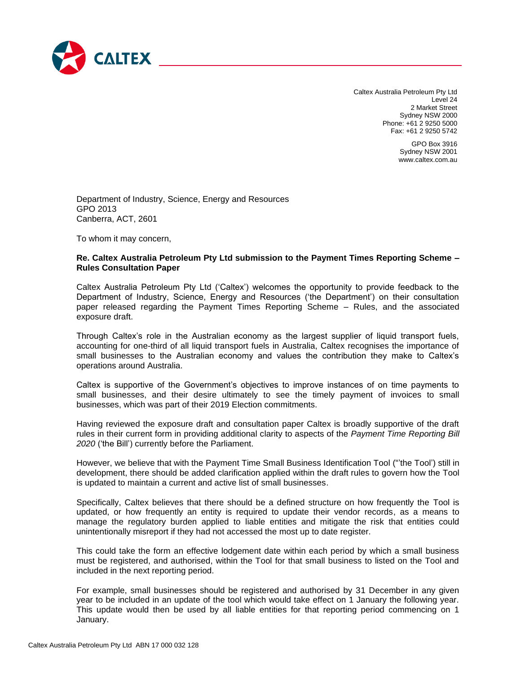

Caltex Australia Petroleum Pty Ltd Level 24 2 Market Street Sydney NSW 2000 Phone: +61 2 9250 5000 Fax: +61 2 9250 5742

> GPO Box 3916 Sydney NSW 2001 www.caltex.com.au

Department of Industry, Science, Energy and Resources GPO 2013 Canberra, ACT, 2601

To whom it may concern,

## **Re. Caltex Australia Petroleum Pty Ltd submission to the Payment Times Reporting Scheme – Rules Consultation Paper**

Caltex Australia Petroleum Pty Ltd ('Caltex') welcomes the opportunity to provide feedback to the Department of Industry, Science, Energy and Resources ('the Department') on their consultation paper released regarding the Payment Times Reporting Scheme – Rules, and the associated exposure draft.

Through Caltex's role in the Australian economy as the largest supplier of liquid transport fuels, accounting for one-third of all liquid transport fuels in Australia, Caltex recognises the importance of small businesses to the Australian economy and values the contribution they make to Caltex's operations around Australia.

Caltex is supportive of the Government's objectives to improve instances of on time payments to small businesses, and their desire ultimately to see the timely payment of invoices to small businesses, which was part of their 2019 Election commitments.

Having reviewed the exposure draft and consultation paper Caltex is broadly supportive of the draft rules in their current form in providing additional clarity to aspects of the *Payment Time Reporting Bill 2020* ('the Bill') currently before the Parliament.

However, we believe that with the Payment Time Small Business Identification Tool ("'the Tool') still in development, there should be added clarification applied within the draft rules to govern how the Tool is updated to maintain a current and active list of small businesses.

Specifically, Caltex believes that there should be a defined structure on how frequently the Tool is updated, or how frequently an entity is required to update their vendor records, as a means to manage the regulatory burden applied to liable entities and mitigate the risk that entities could unintentionally misreport if they had not accessed the most up to date register.

This could take the form an effective lodgement date within each period by which a small business must be registered, and authorised, within the Tool for that small business to listed on the Tool and included in the next reporting period.

For example, small businesses should be registered and authorised by 31 December in any given year to be included in an update of the tool which would take effect on 1 January the following year. This update would then be used by all liable entities for that reporting period commencing on 1 January.